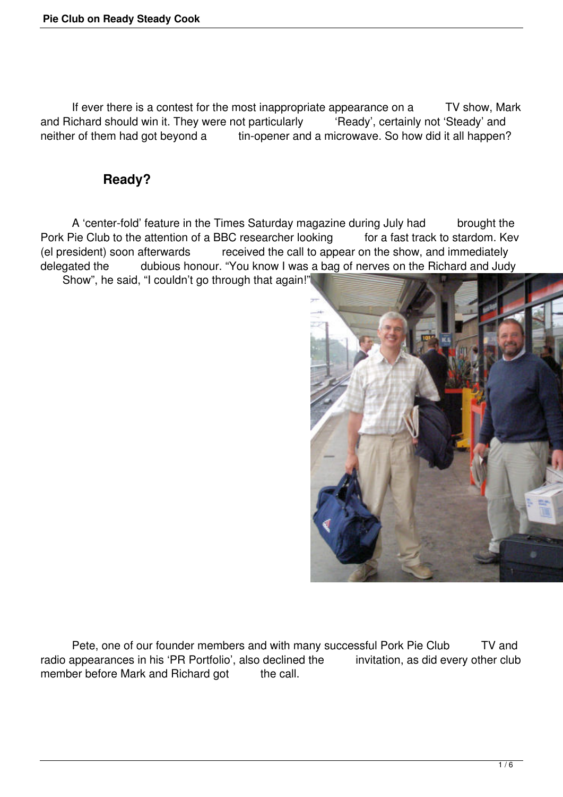If ever there is a contest for the most inappropriate appearance on a TV show, Mark and Richard should win it. They were not particularly "'Ready', certainly not 'Steady' and neither of them had got beyond a tin-opener and a microwave. So how did it all happen?

## **Ready?**

 A 'center-fold' feature in the Times Saturday magazine during July had brought the Pork Pie Club to the attention of a BBC researcher looking for a fast track to stardom. Kev (el president) soon afterwards received the call to appear on the show, and immediately<br>delegated the dubious honour. "You know I was a bag of nerves on the Richard and Jud dubious honour. "You know I was a bag of nerves on the Richard and Judy

Show", he said, "I couldn't go through that again!"



Pete, one of our founder members and with many successful Pork Pie Club TV and radio appearances in his 'PR Portfolio', also declined the invitation, as did every other club member before Mark and Richard got the call.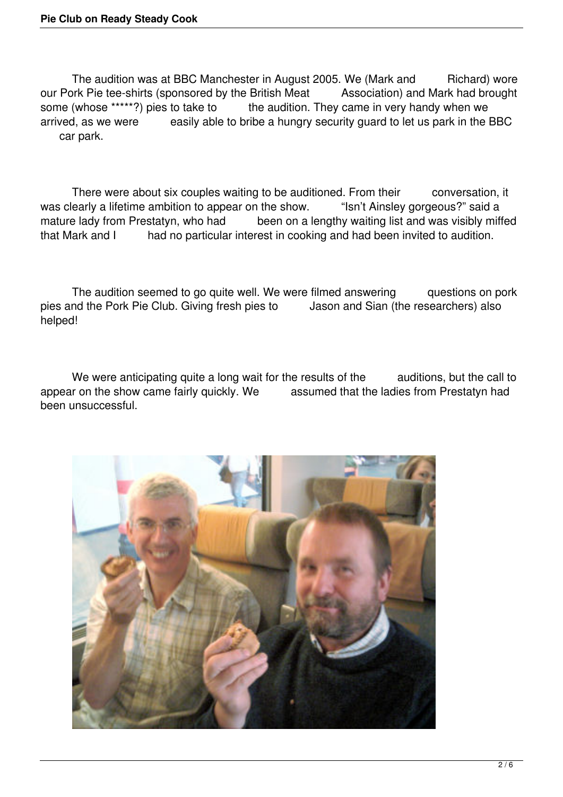The audition was at BBC Manchester in August 2005. We (Mark and Richard) wore our Pork Pie tee-shirts (sponsored by the British Meat Association) and Mark had brought some (whose \*\*\*\*\*?) pies to take to the audition. They came in very handy when we arrived. as we were easily able to bribe a hungry security guard to let us park in the l easily able to bribe a hungry security guard to let us park in the BBC car park.

There were about six couples waiting to be auditioned. From their conversation, it was clearly a lifetime ambition to appear on the show. "Isn't Ainsley gorgeous?" said a mature lady from Prestatyn, who had been on a lengthy waiting list and was visibly miffed that Mark and I had no particular interest in cooking and had been invited to audition.

The audition seemed to go quite well. We were filmed answering questions on pork pies and the Pork Pie Club. Giving fresh pies to Jason and Sian (the researchers) also helped!

We were anticipating quite a long wait for the results of the auditions, but the call to appear on the show came fairly quickly. We assumed that the ladies from Prestatyn had been unsuccessful.

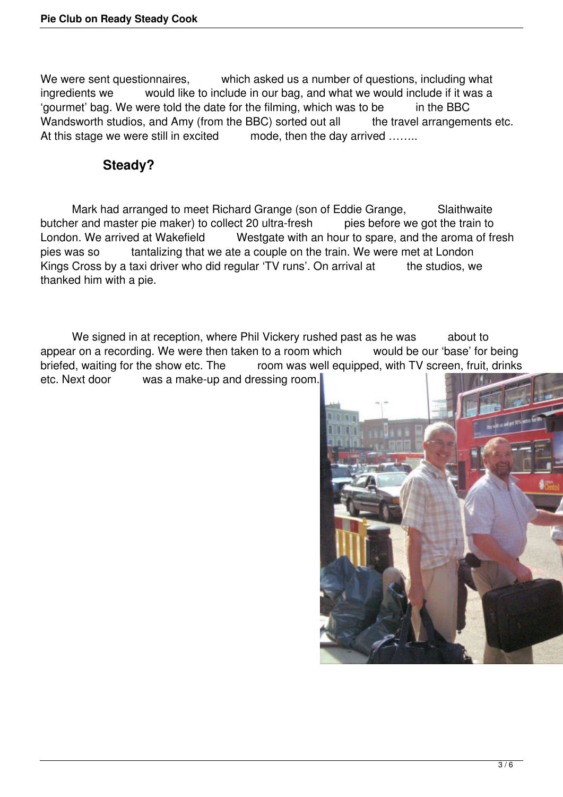We were sent questionnaires, which asked us a number of questions, including what ingredients we would like to include in our bag, and what we would include if it was a 'gourmet' bag. We were told the date for the filming, which was to be in the BBC Wandsworth studios, and Amy (from the BBC) sorted out all the travel arrangements etc. At this stage we were still in excited mode, then the day arrived .......

## **Steady?**

Mark had arranged to meet Richard Grange (son of Eddie Grange, Slaithwaite<br>
In and master pie maker) to collect 20 ultra-fresh pies before we got the train to butcher and master pie maker) to collect 20 ultra-fresh<br>London. We arrived at Wakefield Westaate with a Westgate with an hour to spare, and the aroma of fresh pies was so tantalizing that we ate a couple on the train. We were met at London Kings Cross by a taxi driver who did regular 'TV runs'. On arrival at the studios, we thanked him with a pie.

We signed in at reception, where Phil Vickery rushed past as he was about to appear on a recording. We were then taken to a room which would be our 'base' for being briefed, waiting for the show etc. The room was well equipped, with TV screen, fruit, drinks<br>etc. Next door was a make-up and dressing room was a make-up and dressing room.

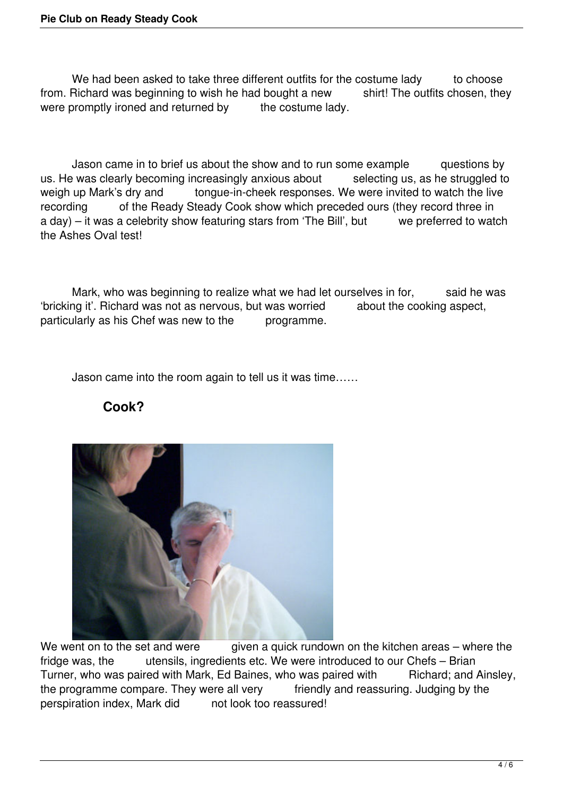We had been asked to take three different outfits for the costume lady to choose from. Richard was beginning to wish he had bought a new shirt! The outfits chosen, they were promptly ironed and returned by the costume lady.

 Jason came in to brief us about the show and to run some example questions by us. He was clearly becoming increasingly anxious about selecting us, as he struggled to weigh up Mark's dry and tongue-in-cheek responses. We were invited to watch the live recording of the Ready Steady Cook show which preceded ours (they record three in a day) – it was a celebrity show featuring stars from 'The Bill', but we preferred to watch the Ashes Oval test!

Mark, who was beginning to realize what we had let ourselves in for, said he was 'bricking it'. Richard was not as nervous, but was worried about the cooking aspect, particularly as his Chef was new to the programme.

Jason came into the room again to tell us it was time……





We went on to the set and were given a quick rundown on the kitchen areas – where the fridge was, the utensils, ingredients etc. We were introduced to our Chefs – Brian Turner, who was paired with Mark, Ed Baines, who was paired with Richard; and Ainsley, the programme compare. They were all very friendly and reassuring. Judging by the perspiration index, Mark did not look too reassured!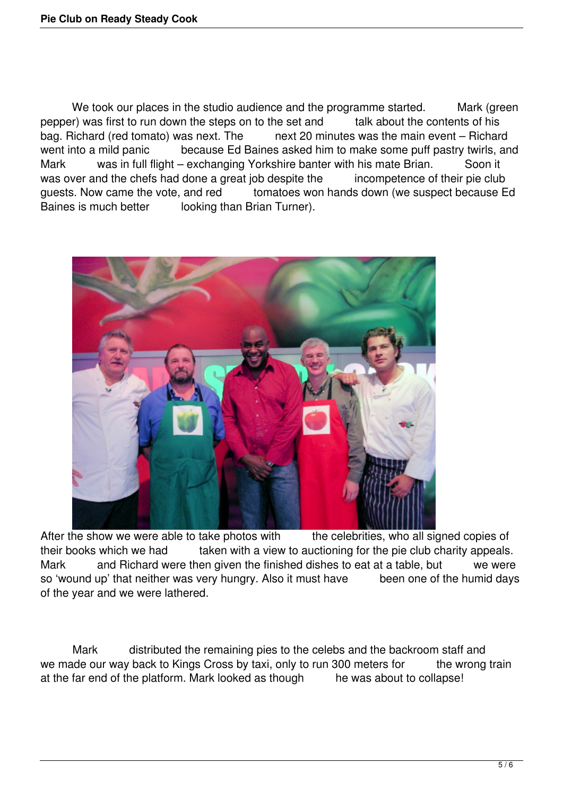We took our places in the studio audience and the programme started. Mark (green pepper) was first to run down the steps on to the set and talk about the contents of his bag. Richard (red tomato) was next. The next 20 minutes was the main event – Richard went into a mild panic because Ed Baines asked him to make some puff pastry twirls, and Mark was in full flight – exchanging Yorkshire banter with his mate Brian. Soon it was over and the chefs had done a great job despite the incompetence of their pie club guests. Now came the vote, and red tomatoes won hands down (we suspect because Ed Baines is much better looking than Brian Turner).



After the show we were able to take photos with the celebrities, who all signed copies of their books which we had taken with a view to auctioning for the pie club charity appeals. Mark and Richard were then given the finished dishes to eat at a table, but we were so 'wound up' that neither was very hungry. Also it must have been one of the humid days of the year and we were lathered.

Mark distributed the remaining pies to the celebs and the backroom staff and we made our way back to Kings Cross by taxi, only to run 300 meters for the wrong train at the far end of the platform. Mark looked as though he was about to collapse!